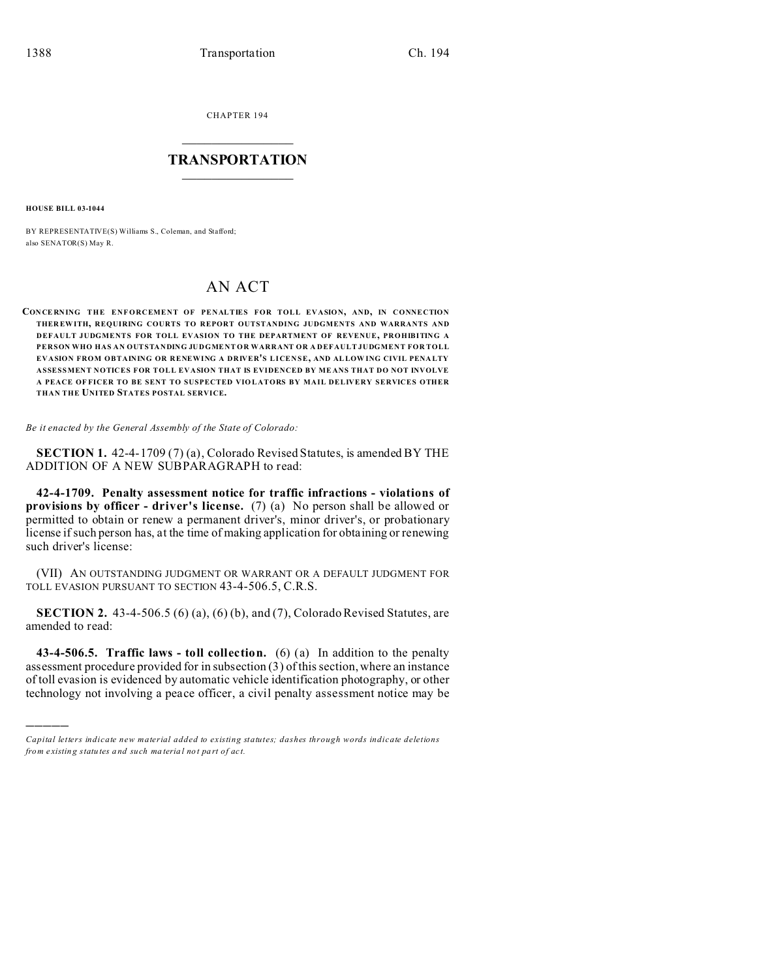CHAPTER 194  $\overline{\phantom{a}}$  , where  $\overline{\phantom{a}}$ 

## **TRANSPORTATION**  $\_$   $\_$   $\_$   $\_$   $\_$   $\_$   $\_$   $\_$   $\_$

**HOUSE BILL 03-1044**

)))))

BY REPRESENTATIVE(S) Williams S., Coleman, and Stafford; also SENATOR(S) May R.

## AN ACT

**CON CE RNING THE ENF ORCEMENT OF PENALTIES FOR TOLL EVASION, AND, IN CONNECTION THER EWITH, REQUIRING COURTS TO REPORT OUTSTANDING JUDGMENTS AND WARRANTS AND DEFAULT JUDGMENTS FOR TOLL EVASION TO THE DEPARTMENT OF REVENUE, PROHIBITING A PERSON WHO HAS AN OUTSTANDING JUDGMENT OR WARRANT OR A DEFAULT JUDGMENT FOR TOLL EVASION FROM OBTAINING OR RENEWING A DRIVER'S LICENSE, AND ALLOW ING CIVIL PENA LTY ASSESSMENT NOTICES FOR TOLL EVASION THAT IS EVIDENCED BY ME ANS THAT DO NOT INVOLVE A PEACE OF FICER TO BE SENT TO SUSPECTED VIO LATORS BY MAIL DELIVERY SERVICES OTHER THAN THE UNITED STATES POSTAL SERVICE.**

*Be it enacted by the General Assembly of the State of Colorado:*

**SECTION 1.** 42-4-1709 (7) (a), Colorado Revised Statutes, is amended BY THE ADDITION OF A NEW SUBPARAGRAPH to read:

**42-4-1709. Penalty assessment notice for traffic infractions - violations of provisions by officer - driver's license.** (7) (a) No person shall be allowed or permitted to obtain or renew a permanent driver's, minor driver's, or probationary license if such person has, at the time of making application for obtaining or renewing such driver's license:

(VII) AN OUTSTANDING JUDGMENT OR WARRANT OR A DEFAULT JUDGMENT FOR TOLL EVASION PURSUANT TO SECTION 43-4-506.5, C.R.S.

**SECTION 2.** 43-4-506.5 (6) (a), (6) (b), and (7), Colorado Revised Statutes, are amended to read:

**43-4-506.5. Traffic laws - toll collection.** (6) (a) In addition to the penalty assessment procedure provided for in subsection (3) of this section, where an instance of toll evasion is evidenced by automatic vehicle identification photography, or other technology not involving a peace officer, a civil penalty assessment notice may be

*Capital letters indicate new material added to existing statutes; dashes through words indicate deletions from e xistin g statu tes a nd such ma teria l no t pa rt of ac t.*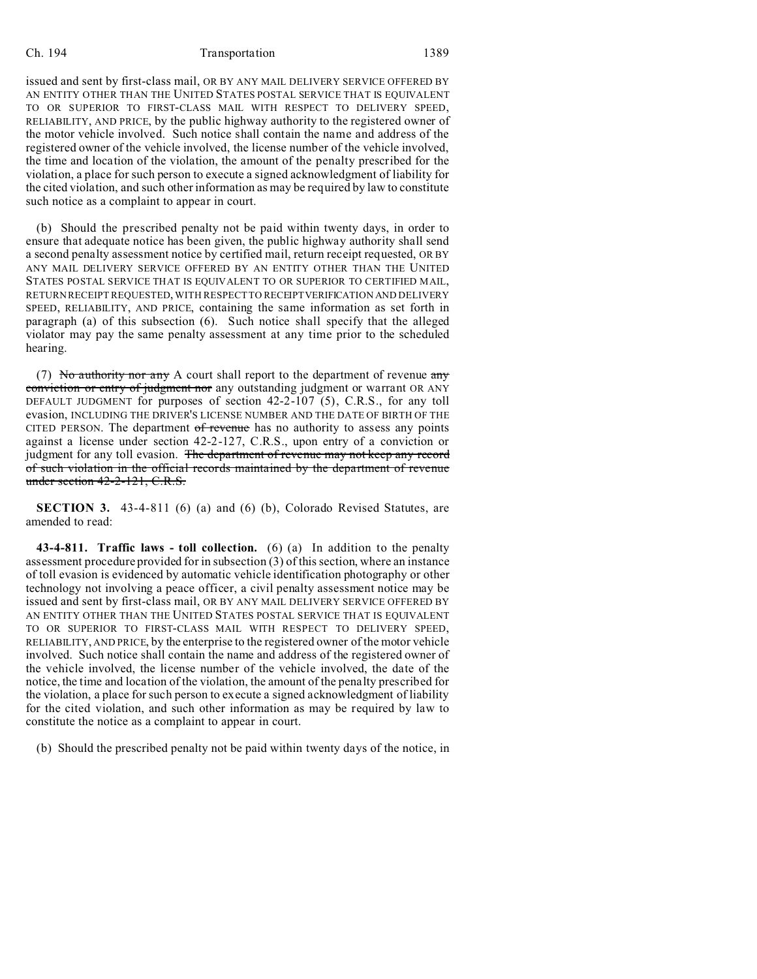## Ch. 194 Transportation 1389

issued and sent by first-class mail, OR BY ANY MAIL DELIVERY SERVICE OFFERED BY AN ENTITY OTHER THAN THE UNITED STATES POSTAL SERVICE THAT IS EQUIVALENT TO OR SUPERIOR TO FIRST-CLASS MAIL WITH RESPECT TO DELIVERY SPEED, RELIABILITY, AND PRICE, by the public highway authority to the registered owner of the motor vehicle involved. Such notice shall contain the name and address of the registered owner of the vehicle involved, the license number of the vehicle involved, the time and location of the violation, the amount of the penalty prescribed for the violation, a place for such person to execute a signed acknowledgment of liability for the cited violation, and such other information as may be required by law to constitute such notice as a complaint to appear in court.

(b) Should the prescribed penalty not be paid within twenty days, in order to ensure that adequate notice has been given, the public highway authority shall send a second penalty assessment notice by certified mail, return receipt requested, OR BY ANY MAIL DELIVERY SERVICE OFFERED BY AN ENTITY OTHER THAN THE UNITED STATES POSTAL SERVICE THAT IS EQUIVALENT TO OR SUPERIOR TO CERTIFIED MAIL, RETURN RECEIPT REQUESTED, WITH RESPECT TO RECEIPTVERIFICATION AND DELIVERY SPEED, RELIABILITY, AND PRICE, containing the same information as set forth in paragraph (a) of this subsection (6). Such notice shall specify that the alleged violator may pay the same penalty assessment at any time prior to the scheduled hearing.

(7) No authority nor any A court shall report to the department of revenue  $\frac{dm}{dt}$ conviction or entry of judgment nor any outstanding judgment or warrant OR ANY DEFAULT JUDGMENT for purposes of section 42-2-107 (5), C.R.S., for any toll evasion, INCLUDING THE DRIVER'S LICENSE NUMBER AND THE DATE OF BIRTH OF THE CITED PERSON. The department of revenue has no authority to assess any points against a license under section 42-2-127, C.R.S., upon entry of a conviction or judgment for any toll evasion. The department of revenue may not keep any record of such violation in the official records maintained by the department of revenue under section 42-2-121, C.R.S.

**SECTION 3.** 43-4-811 (6) (a) and (6) (b), Colorado Revised Statutes, are amended to read:

**43-4-811. Traffic laws - toll collection.** (6) (a) In addition to the penalty assessment procedure provided for in subsection (3) of this section, where an instance of toll evasion is evidenced by automatic vehicle identification photography or other technology not involving a peace officer, a civil penalty assessment notice may be issued and sent by first-class mail, OR BY ANY MAIL DELIVERY SERVICE OFFERED BY AN ENTITY OTHER THAN THE UNITED STATES POSTAL SERVICE THAT IS EQUIVALENT TO OR SUPERIOR TO FIRST-CLASS MAIL WITH RESPECT TO DELIVERY SPEED, RELIABILITY, AND PRICE, by the enterprise to the registered owner of the motor vehicle involved. Such notice shall contain the name and address of the registered owner of the vehicle involved, the license number of the vehicle involved, the date of the notice, the time and location of the violation, the amount of the penalty prescribed for the violation, a place for such person to execute a signed acknowledgment of liability for the cited violation, and such other information as may be required by law to constitute the notice as a complaint to appear in court.

(b) Should the prescribed penalty not be paid within twenty days of the notice, in